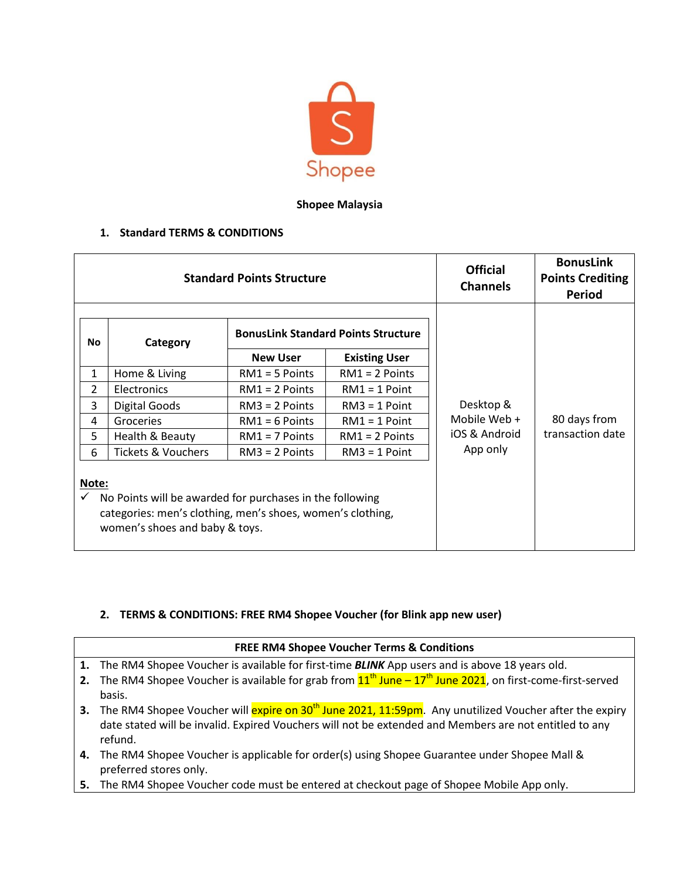

## **Shopee Malaysia**

## **1. Standard TERMS & CONDITIONS**

| <b>Standard Points Structure</b>                                                                                                                                  |                               |                                            |                      | <b>Official</b><br><b>Channels</b> | <b>BonusLink</b><br><b>Points Crediting</b><br>Period |
|-------------------------------------------------------------------------------------------------------------------------------------------------------------------|-------------------------------|--------------------------------------------|----------------------|------------------------------------|-------------------------------------------------------|
| No                                                                                                                                                                | Category                      | <b>BonusLink Standard Points Structure</b> |                      |                                    |                                                       |
|                                                                                                                                                                   |                               | <b>New User</b>                            | <b>Existing User</b> | Desktop &                          |                                                       |
| $\mathbf{1}$                                                                                                                                                      | Home & Living                 | $RM1 = 5$ Points                           | $RM1 = 2$ Points     |                                    |                                                       |
| $\overline{2}$                                                                                                                                                    | Electronics                   | $RM1 = 2$ Points                           | $RM1 = 1$ Point      |                                    |                                                       |
| 3                                                                                                                                                                 | <b>Digital Goods</b>          | $RM3 = 2$ Points                           | $RM3 = 1$ Point      |                                    |                                                       |
| 4                                                                                                                                                                 | Groceries                     | $RM1 = 6$ Points                           | $RM1 = 1$ Point      | Mobile Web +                       | 80 days from                                          |
| 5                                                                                                                                                                 | Health & Beauty               | $RM1 = 7$ Points                           | $RM1 = 2$ Points     | iOS & Android<br>App only          | transaction date                                      |
| 6                                                                                                                                                                 | <b>Tickets &amp; Vouchers</b> | $RM3 = 2$ Points                           | $RM3 = 1$ Point      |                                    |                                                       |
| Note:<br>No Points will be awarded for purchases in the following<br>categories: men's clothing, men's shoes, women's clothing,<br>women's shoes and baby & toys. |                               |                                            |                      |                                    |                                                       |

## **2. TERMS & CONDITIONS: FREE RM4 Shopee Voucher (for Blink app new user)**

| <b>FREE RM4 Shopee Voucher Terms &amp; Conditions</b> |                                                                                                                           |  |  |  |  |
|-------------------------------------------------------|---------------------------------------------------------------------------------------------------------------------------|--|--|--|--|
|                                                       | 1. The RM4 Shopee Voucher is available for first-time <b>BLINK</b> App users and is above 18 years old.                   |  |  |  |  |
|                                                       | 2. The RM4 Shopee Voucher is available for grab from $11^{th}$ June $-17^{th}$ June 2021, on first-come-first-served      |  |  |  |  |
|                                                       | basis.                                                                                                                    |  |  |  |  |
|                                                       | 3. The RM4 Shopee Voucher will expire on 30 <sup>th</sup> June 2021, 11:59pm. Any unutilized Voucher after the expiry     |  |  |  |  |
|                                                       | date stated will be invalid. Expired Vouchers will not be extended and Members are not entitled to any<br>refund.         |  |  |  |  |
|                                                       | 4. The RM4 Shopee Voucher is applicable for order(s) using Shopee Guarantee under Shopee Mall &<br>preferred stores only. |  |  |  |  |

**5.** The RM4 Shopee Voucher code must be entered at checkout page of Shopee Mobile App only.